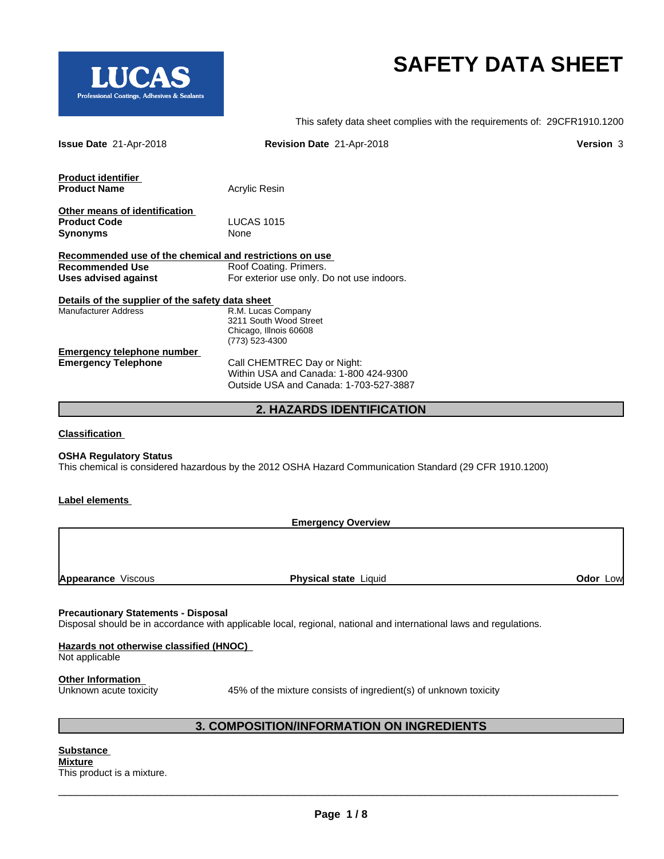

# **SAFETY DATA SHEET**

This safety data sheet complies with the requirements of: 29CFR1910.1200

| <b>Issue Date 21-Apr-2018</b>                                                     | Revision Date 21-Apr-2018                  | Version 3 |
|-----------------------------------------------------------------------------------|--------------------------------------------|-----------|
| <b>Product identifier</b><br><b>Product Name</b>                                  | Acrylic Resin                              |           |
|                                                                                   |                                            |           |
| Other means of identification                                                     |                                            |           |
| <b>Product Code</b>                                                               | <b>LUCAS 1015</b>                          |           |
| <b>Synonyms</b>                                                                   | None                                       |           |
|                                                                                   |                                            |           |
| Recommended use of the chemical and restrictions on use<br><b>Recommended Use</b> | Roof Coating. Primers.                     |           |
| Uses advised against                                                              | For exterior use only. Do not use indoors. |           |
|                                                                                   |                                            |           |
| Details of the supplier of the safety data sheet                                  |                                            |           |
| <b>Manufacturer Address</b>                                                       | R.M. Lucas Company                         |           |
|                                                                                   | 3211 South Wood Street                     |           |
|                                                                                   | Chicago, Illnois 60608                     |           |
|                                                                                   | (773) 523-4300                             |           |
| <b>Emergency telephone number</b><br><b>Emergency Telephone</b>                   | Call CHEMTREC Day or Night:                |           |
|                                                                                   | Within USA and Canada: 1-800 424-9300      |           |
|                                                                                   | Outside USA and Canada: 1-703-527-3887     |           |
|                                                                                   |                                            |           |
|                                                                                   | <b>2. HAZARDS IDENTIFICATION</b>           |           |
|                                                                                   |                                            |           |
| <b>Classification</b>                                                             |                                            |           |

**OSHA Regulatory Status**

This chemical is considered hazardous by the 2012 OSHA Hazard Communication Standard (29 CFR 1910.1200)

#### **Label elements**

**Emergency Overview**

**Appearance** Viscous **Physical state** Liquid

**Odor** Low

#### **Precautionary Statements - Disposal**

Disposal should be in accordance with applicable local, regional, national and international laws and regulations.

#### **Hazards not otherwise classified (HNOC)**

Not applicable

**Other Information**<br>Unknown acute toxicity

45% of the mixture consists of ingredient(s) of unknown toxicity

 $\overline{\phantom{a}}$  ,  $\overline{\phantom{a}}$  ,  $\overline{\phantom{a}}$  ,  $\overline{\phantom{a}}$  ,  $\overline{\phantom{a}}$  ,  $\overline{\phantom{a}}$  ,  $\overline{\phantom{a}}$  ,  $\overline{\phantom{a}}$  ,  $\overline{\phantom{a}}$  ,  $\overline{\phantom{a}}$  ,  $\overline{\phantom{a}}$  ,  $\overline{\phantom{a}}$  ,  $\overline{\phantom{a}}$  ,  $\overline{\phantom{a}}$  ,  $\overline{\phantom{a}}$  ,  $\overline{\phantom{a}}$ 

# **3. COMPOSITION/INFORMATION ON INGREDIENTS**

#### **Substance Mixture** This product is a mixture.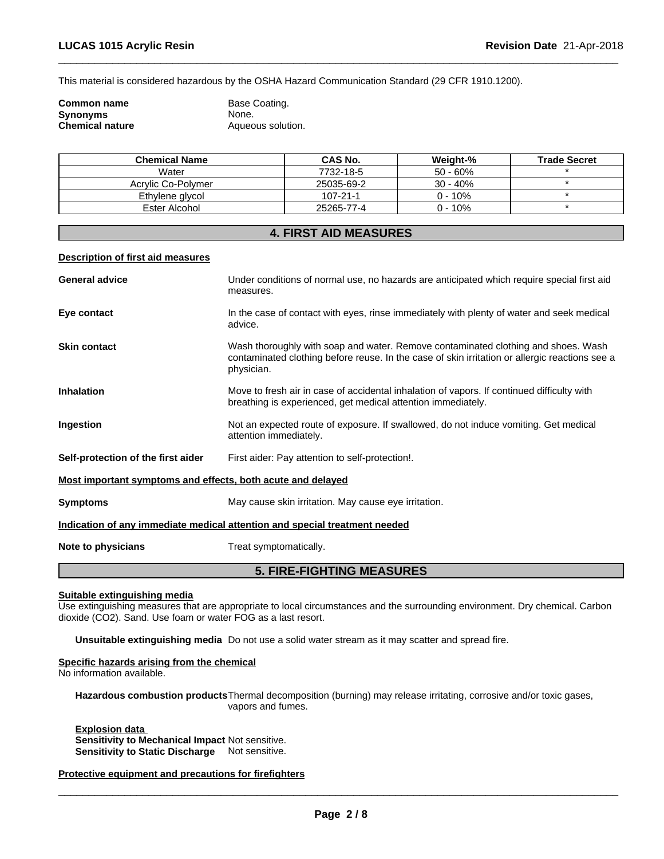This material is considered hazardous by the OSHA Hazard Communication Standard (29 CFR 1910.1200).

| Common name     | Base Coating.     |
|-----------------|-------------------|
| Synonyms        | None.             |
| Chemical nature | Aqueous solution. |

| <b>Chemical Name</b> | CAS No.        | Weight-%    | <b>Trade Secret</b> |
|----------------------|----------------|-------------|---------------------|
| Water                | 7732-18-5      | $50 - 60\%$ |                     |
| Acrylic Co-Polymer   | 25035-69-2     | $30 - 40%$  |                     |
| Ethylene glycol      | $107 - 21 - 1$ | $0 - 10\%$  |                     |
| Ester Alcohol        | 25265-77-4     | $0 - 10%$   |                     |

# **4. FIRST AID MEASURES**

#### **Description of first aid measures**

| <b>General advice</b>                                       | Under conditions of normal use, no hazards are anticipated which require special first aid<br>measures.                                                                                           |
|-------------------------------------------------------------|---------------------------------------------------------------------------------------------------------------------------------------------------------------------------------------------------|
| Eye contact                                                 | In the case of contact with eyes, rinse immediately with plenty of water and seek medical<br>advice.                                                                                              |
| <b>Skin contact</b>                                         | Wash thoroughly with soap and water. Remove contaminated clothing and shoes. Wash<br>contaminated clothing before reuse. In the case of skin irritation or allergic reactions see a<br>physician. |
| <b>Inhalation</b>                                           | Move to fresh air in case of accidental inhalation of vapors. If continued difficulty with<br>breathing is experienced, get medical attention immediately.                                        |
| Ingestion                                                   | Not an expected route of exposure. If swallowed, do not induce vomiting. Get medical<br>attention immediately.                                                                                    |
| Self-protection of the first aider                          | First aider: Pay attention to self-protection!.                                                                                                                                                   |
| Most important symptoms and effects, both acute and delayed |                                                                                                                                                                                                   |
| <b>Symptoms</b>                                             | May cause skin irritation. May cause eye irritation.                                                                                                                                              |
|                                                             | Indication of any immediate medical attention and special treatment needed                                                                                                                        |
| Note to physicians                                          | Treat symptomatically.                                                                                                                                                                            |
|                                                             | <b>5. FIRE-FIGHTING MEASURES</b>                                                                                                                                                                  |

# **Suitable extinguishing media**

Use extinguishing measures that are appropriate to local circumstances and the surrounding environment. Dry chemical. Carbon dioxide (CO2). Sand. Use foam or water FOG as a last resort.

**Unsuitable extinguishing media** Do not use a solid water stream as it may scatterand spread fire.

### **Specific hazards arising from the chemical**

No information available.

Hazardous combustion products Thermal decomposition (burning) may release irritating, corrosive and/or toxic gases, vapors and fumes.

**Explosion data Sensitivity to Mechanical Impact** Not sensitive. **Sensitivity to Static Discharge** Not sensitive.

### **Protective equipment and precautions for firefighters**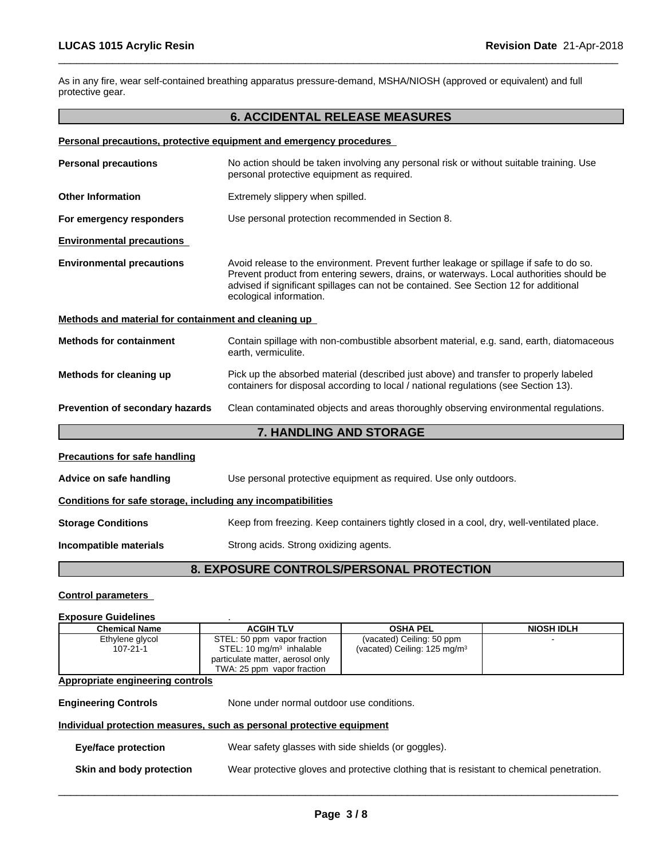As in any fire, wear self-contained breathing apparatus pressure-demand, MSHA/NIOSH (approved or equivalent) and full protective gear.

# **6. ACCIDENTAL RELEASE MEASURES**

|                                                              | Personal precautions, protective equipment and emergency procedures                                                                                                                                                                                                                                   |  |  |
|--------------------------------------------------------------|-------------------------------------------------------------------------------------------------------------------------------------------------------------------------------------------------------------------------------------------------------------------------------------------------------|--|--|
| <b>Personal precautions</b>                                  | No action should be taken involving any personal risk or without suitable training. Use<br>personal protective equipment as required.                                                                                                                                                                 |  |  |
| <b>Other Information</b>                                     | Extremely slippery when spilled.                                                                                                                                                                                                                                                                      |  |  |
| For emergency responders                                     | Use personal protection recommended in Section 8.                                                                                                                                                                                                                                                     |  |  |
| <b>Environmental precautions</b>                             |                                                                                                                                                                                                                                                                                                       |  |  |
| <b>Environmental precautions</b>                             | Avoid release to the environment. Prevent further leakage or spillage if safe to do so.<br>Prevent product from entering sewers, drains, or waterways. Local authorities should be<br>advised if significant spillages can not be contained. See Section 12 for additional<br>ecological information. |  |  |
| Methods and material for containment and cleaning up         |                                                                                                                                                                                                                                                                                                       |  |  |
| <b>Methods for containment</b>                               | Contain spillage with non-combustible absorbent material, e.g. sand, earth, diatomaceous<br>earth, vermiculite.                                                                                                                                                                                       |  |  |
| Methods for cleaning up                                      | Pick up the absorbed material (described just above) and transfer to properly labeled<br>containers for disposal according to local / national regulations (see Section 13).                                                                                                                          |  |  |
| Prevention of secondary hazards                              | Clean contaminated objects and areas thoroughly observing environmental regulations.                                                                                                                                                                                                                  |  |  |
|                                                              | 7. HANDLING AND STORAGE                                                                                                                                                                                                                                                                               |  |  |
| <b>Precautions for safe handling</b>                         |                                                                                                                                                                                                                                                                                                       |  |  |
| Advice on safe handling                                      | Use personal protective equipment as required. Use only outdoors.                                                                                                                                                                                                                                     |  |  |
| Conditions for safe storage, including any incompatibilities |                                                                                                                                                                                                                                                                                                       |  |  |
| <b>Storage Conditions</b>                                    | Keep from freezing. Keep containers tightly closed in a cool, dry, well-ventilated place.                                                                                                                                                                                                             |  |  |
| Incompatible materials                                       | Strong acids. Strong oxidizing agents.                                                                                                                                                                                                                                                                |  |  |
|                                                              | 8. EXPOSURE CONTROLS/PERSONAL PROTECTION                                                                                                                                                                                                                                                              |  |  |

# **Control parameters**

| <b>Exposure Guidelines</b>       |                                                                       |                                                                                           |                   |
|----------------------------------|-----------------------------------------------------------------------|-------------------------------------------------------------------------------------------|-------------------|
| <b>Chemical Name</b>             | <b>ACGIH TLV</b>                                                      | <b>OSHA PEL</b>                                                                           | <b>NIOSH IDLH</b> |
| Ethylene glycol                  | STEL: 50 ppm vapor fraction                                           | (vacated) Ceiling: 50 ppm                                                                 |                   |
| $107 - 21 - 1$                   | STEL: 10 mg/m <sup>3</sup> inhalable                                  | (vacated) Ceiling: 125 mg/m <sup>3</sup>                                                  |                   |
|                                  | particulate matter, aerosol only                                      |                                                                                           |                   |
|                                  | TWA: 25 ppm vapor fraction                                            |                                                                                           |                   |
| Appropriate engineering controls |                                                                       |                                                                                           |                   |
|                                  |                                                                       |                                                                                           |                   |
| <b>Engineering Controls</b>      | None under normal outdoor use conditions.                             |                                                                                           |                   |
|                                  | Individual protection measures, such as personal protective equipment |                                                                                           |                   |
| <b>Eye/face protection</b>       | Wear safety glasses with side shields (or goggles).                   |                                                                                           |                   |
|                                  |                                                                       |                                                                                           |                   |
| Skin and body protection         |                                                                       | Wear protective gloves and protective clothing that is resistant to chemical penetration. |                   |
|                                  |                                                                       |                                                                                           |                   |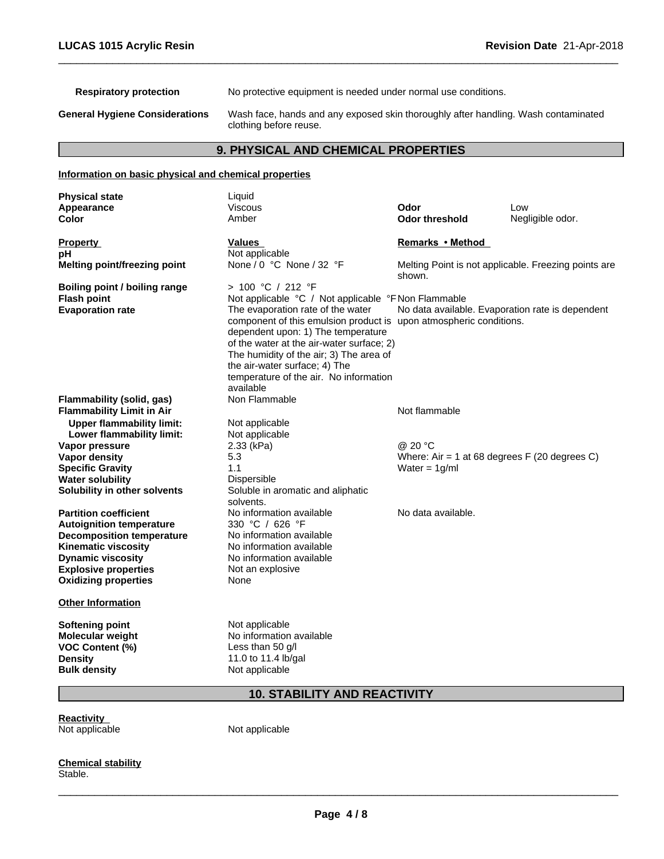**Respiratory protection** No protective equipment is needed under normal use conditions.

**General Hygiene Considerations** Wash face, hands and any exposed skin thoroughly after handling. Wash contaminated clothing before reuse.

# **9. PHYSICAL AND CHEMICAL PROPERTIES**

#### **Information on basic physical and chemical properties Physical state** Liquid **Explosive properties** Not an explosive **Oxidizing properties** None **Other Information Softening point** Not applicable **Molecular weight** No information available **VOC Content (%)** Less than 50 g/l **Density** 11.0 to 11.4 lb/gal **Bulk density** Not applicable **10. STABILITY AND REACTIVITY Appearance** Viscous **Odor** Low **Color Color Color Color Color Color Color Color Color Color Color Color Color Color Color Color Color Color Color Color Color Color Color Color Color Color Color Color Property Construction Construction Construction Values Construction Construction Remarks • Method pH**<br> **Melting point/freezing point** Mone / 0 °C None / 32 °F **Melting point/freezing point** None / 0 °C None / 32 °F Melting Point is not applicable. Freezing points are shown. **Boiling point / boiling range** > 100 °C / 212 °F **Flash point**<br> **Flash point**<br> **Evaporation rate**<br> **Evaporation rate**<br> **Note above the evaporation rate of the water**<br>
No data available The evaporation rate of the water component of this emulsion product is dependent upon: 1) The temperature of the water at the air-water surface; 2) The humidity of the air; 3) The area of the air-water surface; 4) The temperature of the air. No information available<br>Non Flammable No data available. Evaporation rate is dependent upon atmospheric conditions. **Flammability (solid, gas)** Non Flammable **Flammability Limit in Air Upper flammability limit:** Not applicable<br> **Lower flammability limit:** Not applicable **Lower flammability limit:** Not applicant Not applically be Not applicable. **Vapor pressure** 2.33 (kPa) **and 2.33 (kPa) and 2.33 (kPa) and 2.0** °C **Vapor density** 5.3 Where: Air = 1 at 68 degrees F (20 degrees C) **Specific Gravity** 1.1 1 Dispersible 1.1 Water = 1g/ml Water = 1g/ml **Water solubility<br>Solubility in other solvents Soluble in aromatic and aliphatic** solvents. **Partition coefficient**<br> **Autoignition temperature** 
<br>  $330 °C / 626 °F$ <br> **Autoignition temperature**  $330 °C / 626 °F$ **Autoignition temperature** 330 °C / 626 °F<br> **Decomposition temperature** No information available **Decomposition temperature Kinematic viscosity** No information available **Dynamic viscosity** No information available

**Reactivity** Not applicable Not applicable

**Chemical stability** Stable.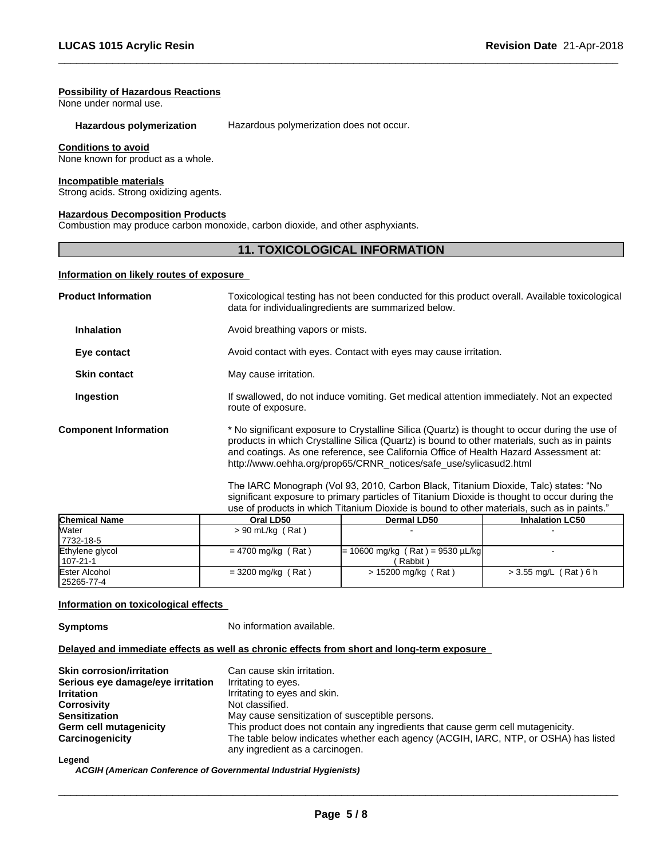#### **Possibility of Hazardous Reactions**

None under normal use.

#### **Hazardous polymerization** Hazardous polymerization does not occur.

#### **Conditions to avoid**

None known for product as a whole.

#### **Incompatible materials**

Strong acids. Strong oxidizing agents.

#### **Hazardous Decomposition Products**

Combustion may produce carbon monoxide, carbon dioxide, and other asphyxiants.

# **11. TOXICOLOGICAL INFORMATION**

#### **Information on likely routes of exposure**

| <b>Product Information</b>   | Toxicological testing has not been conducted for this product overall. Available toxicological<br>data for individualing redients are summarized below.                                                                                                                                                                                                      |
|------------------------------|--------------------------------------------------------------------------------------------------------------------------------------------------------------------------------------------------------------------------------------------------------------------------------------------------------------------------------------------------------------|
| <b>Inhalation</b>            | Avoid breathing vapors or mists.                                                                                                                                                                                                                                                                                                                             |
| Eye contact                  | Avoid contact with eyes. Contact with eyes may cause irritation.                                                                                                                                                                                                                                                                                             |
| <b>Skin contact</b>          | May cause irritation.                                                                                                                                                                                                                                                                                                                                        |
| Ingestion                    | If swallowed, do not induce vomiting. Get medical attention immediately. Not an expected<br>route of exposure.                                                                                                                                                                                                                                               |
| <b>Component Information</b> | * No significant exposure to Crystalline Silica (Quartz) is thought to occur during the use of<br>products in which Crystalline Silica (Quartz) is bound to other materials, such as in paints<br>and coatings. As one reference, see California Office of Health Hazard Assessment at:<br>http://www.oehha.org/prop65/CRNR_notices/safe_use/sylicasud2.html |

The IARC Monograph (Vol 93, 2010, Carbon Black, Titanium Dioxide, Talc) states: "No significant exposure to primary particles of Titanium Dioxide is thought to occur during the use of products in which Titanium Dioxide is bound to other materials, such as in paints."

| <b>Chemical Name</b> | Oral LD50            | <b>Dermal LD50</b>                 | <b>Inhalation LC50</b>  |
|----------------------|----------------------|------------------------------------|-------------------------|
| <b>Water</b>         | $> 90$ mL/kg (Rat)   |                                    |                         |
| 7732-18-5            |                      |                                    |                         |
| Ethylene glycol      | $= 4700$ mg/kg (Rat) | $= 10600$ mg/kg (Rat) = 9530 µL/kg |                         |
| 107-21-1             |                      | Rabbit \                           |                         |
| Ester Alcohol        | $=$ 3200 mg/kg (Rat) | > 15200 mg/kg (Rat)                | $>$ 3.55 mg/L (Rat) 6 h |
| 25265-77-4           |                      |                                    |                         |

#### **Information on toxicological effects**

**Symptoms** No information available.

#### **Delayed and immediate effects as well as chronic effects from short and long-term exposure**

| Can cause skin irritation.                                                                                              |
|-------------------------------------------------------------------------------------------------------------------------|
| Irritating to eyes.                                                                                                     |
| Irritating to eyes and skin.                                                                                            |
| Not classified.                                                                                                         |
| May cause sensitization of susceptible persons.                                                                         |
| This product does not contain any ingredients that cause germ cell mutagenicity.                                        |
| The table below indicates whether each agency (ACGIH, IARC, NTP, or OSHA) has listed<br>any ingredient as a carcinogen. |
|                                                                                                                         |

#### **Legend**

*ACGIH (American Conference of Governmental Industrial Hygienists)*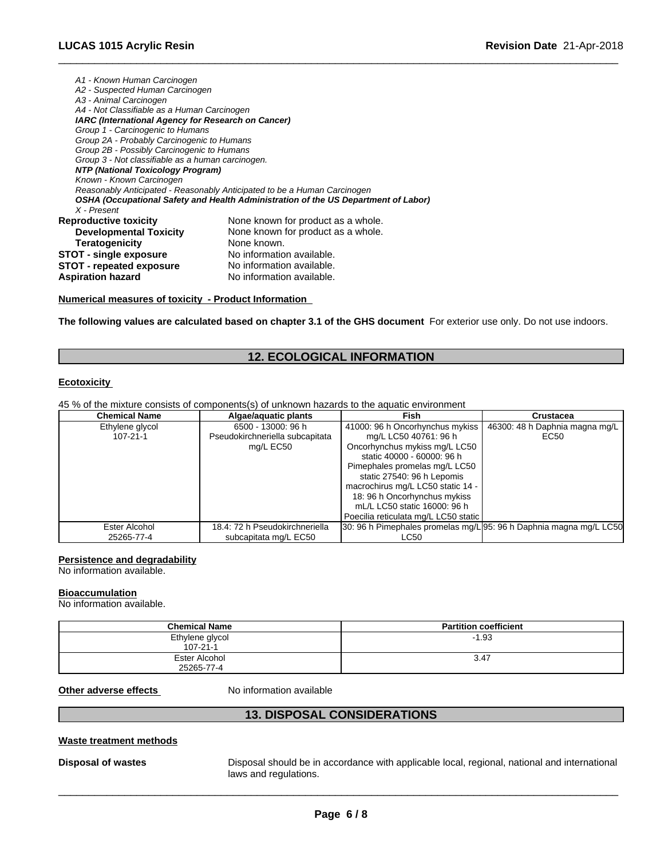| A1 - Known Human Carcinogen                        |                                                                                    |
|----------------------------------------------------|------------------------------------------------------------------------------------|
| A2 - Suspected Human Carcinogen                    |                                                                                    |
| A3 - Animal Carcinogen                             |                                                                                    |
| A4 - Not Classifiable as a Human Carcinogen        |                                                                                    |
| IARC (International Agency for Research on Cancer) |                                                                                    |
| Group 1 - Carcinogenic to Humans                   |                                                                                    |
| Group 2A - Probably Carcinogenic to Humans         |                                                                                    |
| Group 2B - Possibly Carcinogenic to Humans         |                                                                                    |
| Group 3 - Not classifiable as a human carcinogen.  |                                                                                    |
| NTP (National Toxicology Program)                  |                                                                                    |
| Known - Known Carcinogen                           |                                                                                    |
|                                                    | Reasonably Anticipated - Reasonably Anticipated to be a Human Carcinogen           |
|                                                    | OSHA (Occupational Safety and Health Administration of the US Department of Labor) |
| X - Present                                        |                                                                                    |
| <b>Reproductive toxicity</b>                       | None known for product as a whole.                                                 |
| <b>Developmental Toxicity</b>                      | None known for product as a whole.                                                 |
| <b>Teratogenicity</b>                              | None known.                                                                        |
| <b>STOT - single exposure</b>                      | No information available.                                                          |
| STOT - repeated exposure                           | No information available.                                                          |
| <b>Aspiration hazard</b>                           | No information available.                                                          |

#### **Numerical measures of toxicity - Product Information**

**The following values are calculated based on chapter 3.1 of the GHS document** For exterior use only. Do not use indoors.

# **12. ECOLOGICAL INFORMATION**

# **Ecotoxicity**

45 % of the mixture consists of components(s) of unknown hazards to the aquatic environment

| <b>Chemical Name</b> | Algae/aguatic plants            | Fish                                                               | <b>Crustacea</b>               |
|----------------------|---------------------------------|--------------------------------------------------------------------|--------------------------------|
| Ethylene glycol      | 6500 - 13000: 96 h              | 41000: 96 h Oncorhynchus mykiss                                    | 46300: 48 h Daphnia magna mg/L |
| 107-21-1             | Pseudokirchneriella subcapitata | mg/L LC50 40761: 96 h                                              | EC50                           |
|                      | mg/L EC50                       | Oncorhynchus mykiss mg/L LC50                                      |                                |
|                      |                                 | static 40000 - 60000: 96 h                                         |                                |
|                      |                                 | Pimephales promelas mg/L LC50                                      |                                |
|                      |                                 | static 27540: 96 h Lepomis                                         |                                |
|                      |                                 | macrochirus mg/L LC50 static 14 -                                  |                                |
|                      |                                 | 18: 96 h Oncorhynchus mykiss                                       |                                |
|                      |                                 | mL/L LC50 static 16000: 96 h                                       |                                |
|                      |                                 | Poecilia reticulata mg/L LC50 static                               |                                |
| Ester Alcohol        | 18.4: 72 h Pseudokirchneriella  | 30: 96 h Pimephales promelas mg/L 95: 96 h Daphnia magna mg/L LC50 |                                |
| 25265-77-4           | subcapitata mg/L EC50           | LC50                                                               |                                |

#### **Persistence and degradability**

No information available.

#### **Bioaccumulation**

No information available.

| <b>Chemical Name</b> | <b>Partition coefficient</b> |
|----------------------|------------------------------|
| Ethylene glycol      | $-1.93$                      |
| $107 - 21 - 1$       |                              |
| Ester Alcohol        | 3.47                         |
| 25265-77-4           |                              |

#### **Other adverse effects** No information available

# **13. DISPOSAL CONSIDERATIONS**

#### **Waste treatment methods**

**Disposal of wastes** Disposal should be in accordance with applicable local, regional, national and international laws and regulations.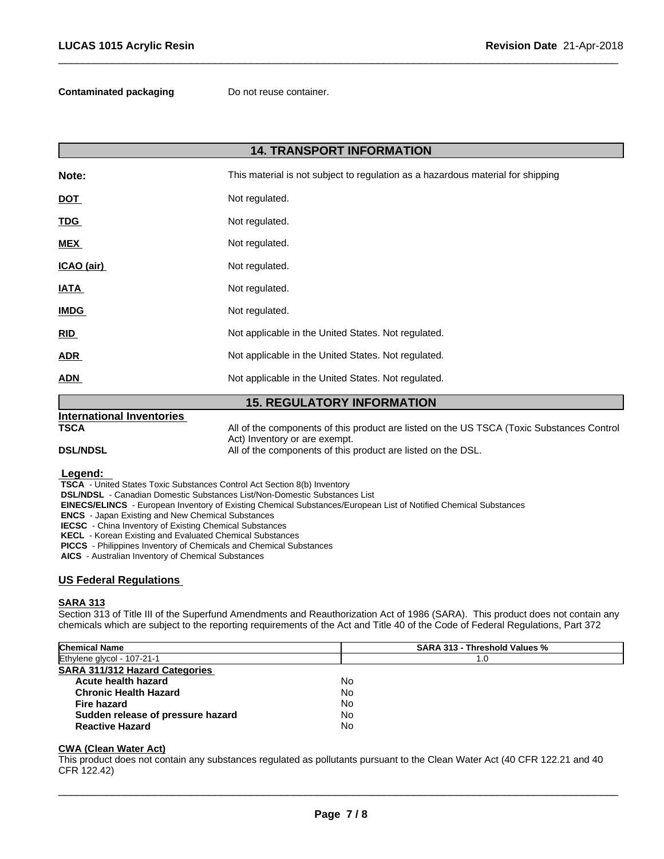**Contaminated packaging** Do not reuse container.

| <b>14. TRANSPORT INFORMATION</b> |                                                                                 |  |
|----------------------------------|---------------------------------------------------------------------------------|--|
| Note:                            | This material is not subject to regulation as a hazardous material for shipping |  |
| <b>DOT</b>                       | Not regulated.                                                                  |  |
| <b>TDG</b>                       | Not regulated.                                                                  |  |
| <b>MEX</b>                       | Not regulated.                                                                  |  |
| ICAO (air)                       | Not regulated.                                                                  |  |
| <b>IATA</b>                      | Not regulated.                                                                  |  |
| <b>IMDG</b>                      | Not regulated.                                                                  |  |
| RID                              | Not applicable in the United States. Not regulated.                             |  |
| <b>ADR</b>                       | Not applicable in the United States. Not regulated.                             |  |
| ADN                              | Not applicable in the United States. Not regulated.                             |  |
|                                  | <b>AF BEAULATADVINEADMATIAN</b>                                                 |  |

#### **15. REGULATORY INFORMATION International Inventories TSCA** All of the components of this product are listed on the US TSCA (Toxic Substances Control Act) Inventory or are exempt. **DSL/NDSL All of the components of this product are listed on the DSL.**

#### **Legend:**

 **TSCA** - United States Toxic Substances Control Act Section 8(b) Inventory

 **DSL/NDSL** - Canadian Domestic Substances List/Non-Domestic Substances List

 **EINECS/ELINCS** - European Inventory of Existing Chemical Substances/European List of Notified Chemical Substances

 **ENCS** - Japan Existing and New Chemical Substances

 **IECSC** - China Inventory of Existing Chemical Substances

 **KECL** - Korean Existing and Evaluated Chemical Substances

 **PICCS** - Philippines Inventory of Chemicals and Chemical Substances

 **AICS** - Australian Inventory of Chemical Substances

#### **US Federal Regulations**

#### **SARA 313**

Section 313 of Title III of the Superfund Amendments and Reauthorization Act of 1986 (SARA). This product does not contain any chemicals which are subject to the reporting requirements of the Act and Title 40 of the Code of Federal Regulations, Part 372

| <b>Chemical Name</b>                  | <b>SARA 313 - Threshold Values %</b> |  |
|---------------------------------------|--------------------------------------|--|
| Ethylene glycol - 107-21-1            | 1.0                                  |  |
| <b>SARA 311/312 Hazard Categories</b> |                                      |  |
| Acute health hazard                   | No                                   |  |
| <b>Chronic Health Hazard</b>          | No                                   |  |
| Fire hazard                           | No                                   |  |
| Sudden release of pressure hazard     | No                                   |  |
| <b>Reactive Hazard</b>                | No                                   |  |

#### **CWA (Clean WaterAct)**

This product does not contain any substances regulated as pollutants pursuant to the Clean Water Act (40 CFR 122.21 and 40 CFR 122.42)